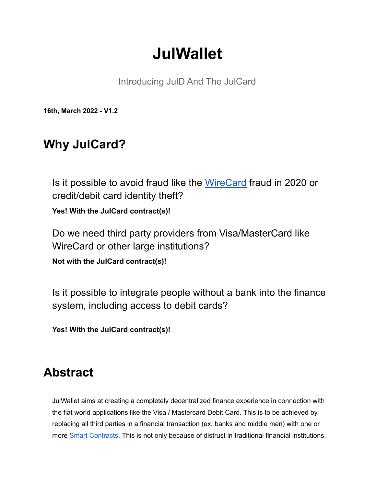# **JulWallet**

Introducing JulD And The JulCard

**16th, March 2022 - V1.2**

## **Why JulCard?**

Is it possible to avoid fraud like the [WireCard](https://www.reuters.com/article/us-germany-wirecard-inquiry-timeline-idUSKBN2B811J) fraud in 2020 or credit/debit card identity theft?

**Yes! With the JulCard contract(s)!**

Do we need third party providers from Visa/MasterCard like WireCard or other large institutions?

**Not with the JulCard contract(s)!**

Is it possible to integrate people without a bank into the finance system, including access to debit cards?

**Yes! With the JulCard contract(s)!**

## **Abstract**

JulWallet aims at creating a completely decentralized finance experience in connection with the fiat world applications like the Visa / Mastercard Debit Card. This is to be achieved by replacing all third parties in a financial transaction (ex. banks and middle men) with one or more Smart [Contracts.](https://www.investopedia.com/terms/s/smart-contracts.asp) This is not only because of distrust in traditional financial institutions,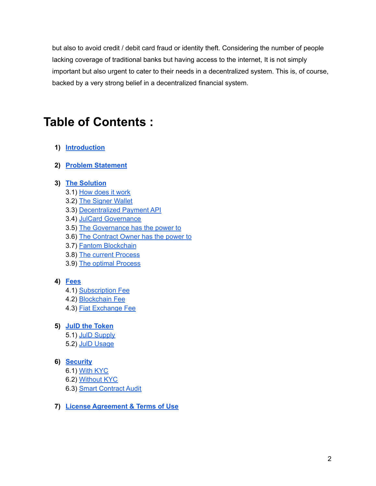but also to avoid credit / debit card fraud or identity theft. Considering the number of people lacking coverage of traditional banks but having access to the internet, It is not simply important but also urgent to cater to their needs in a decentralized system. This is, of course, backed by a very strong belief in a decentralized financial system.

## **Table of Contents :**

#### **1) [Introduction](#page-2-0)**

**2) Problem [Statement](#page-2-1)**

#### **3) The [Solution](#page-3-0)**

- 3.1) How [does](#page-3-1) it work
- 3.2) The [Signer](#page-3-2) Wallet
- 3.3) [Decentralized](#page-4-0) Payment API
- 3.4) JulCard [Governance](#page-4-1)
- 3.5) The [Governance](#page-4-2) has the power to
- 3.6) The [Contract](#page-4-3) Owner has the power to
- 3.7) Fantom [Blockchain](#page-5-0)
- 3.8) The current [Process](#page-6-0)
- 3.9) The optimal [Process](#page-6-1)

#### **4) [Fees](#page-7-0)**

- 4.1) [Subscription](#page-7-1) Fee
- 4.2) [Blockchain](#page-7-2) Fee
- 4.3) Fiat [Exchange](#page-7-3) Fee
- **5) JulD the [Token](#page-8-0)**
	- 5.1) JulD [Supply](#page-8-1)
	- 5.2) JulD [Usage](#page-8-2)

#### **6) [Security](#page-9-0)**

- 6.1) With [KYC](#page-9-1)
- 6.2) [Without](#page-9-2) KYC
- 6.3) Smart [Contract](#page-9-3) Audit
- **7) License [Agreement](#page-10-0) & Terms of Use**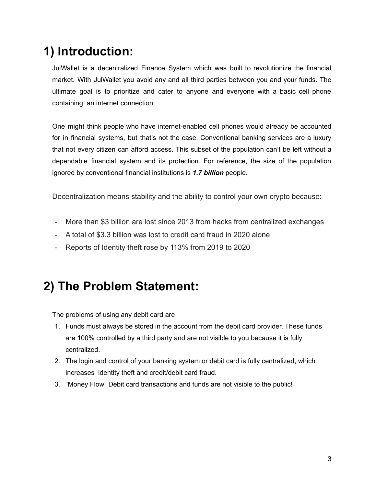# <span id="page-2-0"></span>**1) Introduction:**

JulWallet is a decentralized Finance System which was built to revolutionize the financial market. With JulWallet you avoid any and all third parties between you and your funds. The ultimate goal is to prioritize and cater to anyone and everyone with a basic cell phone containing an internet connection.

One might think people who have internet-enabled cell phones would already be accounted for in financial systems, but that's not the case. Conventional banking services are a luxury that not every citizen can afford access. This subset of the population can't be left without a dependable financial system and its protection. For reference, the size of the population ignored by conventional financial institutions is *1.7 billion* people.

Decentralization means stability and the ability to control your own crypto because:

- More than \$3 billion are lost since 2013 from hacks from centralized exchanges
- A total of \$3.3 billion was lost to credit card fraud in 2020 alone
- Reports of Identity theft rose by 113% from 2019 to 2020

## <span id="page-2-1"></span>**2) The Problem Statement:**

The problems of using any debit card are

- 1. Funds must always be stored in the account from the debit card provider. These funds are 100% controlled by a third party and are not visible to you because it is fully centralized.
- 2. The login and control of your banking system or debit card is fully centralized, which increases identity theft and credit/debit card fraud.
- 3. "Money Flow" Debit card transactions and funds are not visible to the public!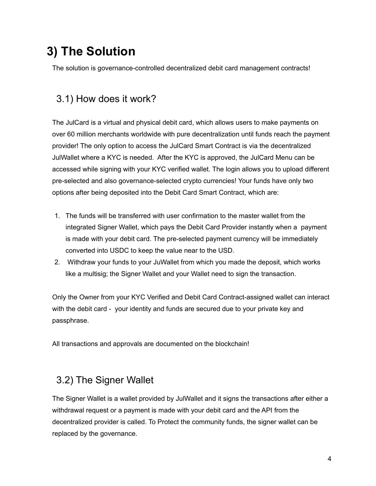# <span id="page-3-0"></span>**3) The Solution**

The solution is governance-controlled decentralized debit card management contracts!

## <span id="page-3-1"></span>3.1) How does it work?

The JulCard is a virtual and physical debit card, which allows users to make payments on over 60 million merchants worldwide with pure decentralization until funds reach the payment provider! The only option to access the JulCard Smart Contract is via the decentralized JulWallet where a KYC is needed. After the KYC is approved, the JulCard Menu can be accessed while signing with your KYC verified wallet. The login allows you to upload different pre-selected and also governance-selected crypto currencies! Your funds have only two options after being deposited into the Debit Card Smart Contract, which are:

- 1. The funds will be transferred with user confirmation to the master wallet from the integrated Signer Wallet, which pays the Debit Card Provider instantly when a payment is made with your debit card. The pre-selected payment currency will be immediately converted into USDC to keep the value near to the USD.
- 2. Withdraw your funds to your JuWallet from which you made the deposit, which works like a multisig; the Signer Wallet and your Wallet need to sign the transaction.

Only the Owner from your KYC Verified and Debit Card Contract-assigned wallet can interact with the debit card - your identity and funds are secured due to your private key and passphrase.

All transactions and approvals are documented on the blockchain!

### <span id="page-3-2"></span>3.2) The Signer Wallet

The Signer Wallet is a wallet provided by JulWallet and it signs the transactions after either a withdrawal request or a payment is made with your debit card and the API from the decentralized provider is called. To Protect the community funds, the signer wallet can be replaced by the governance.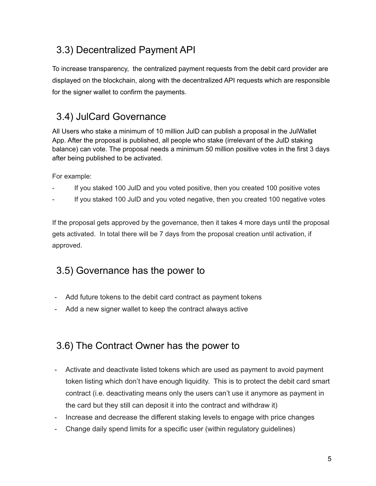## <span id="page-4-0"></span>3.3) Decentralized Payment API

To increase transparency, the centralized payment requests from the debit card provider are displayed on the blockchain, along with the decentralized API requests which are responsible for the signer wallet to confirm the payments.

## <span id="page-4-1"></span>3.4) JulCard Governance

All Users who stake a minimum of 10 million JulD can publish a proposal in the JulWallet App. After the proposal is published, all people who stake (irrelevant of the JulD staking balance) can vote. The proposal needs a minimum 50 million positive votes in the first 3 days after being published to be activated.

For example:

- If you staked 100 JuID and you voted positive, then you created 100 positive votes
- If you staked 100 JulD and you voted negative, then you created 100 negative votes

If the proposal gets approved by the governance, then it takes 4 more days until the proposal gets activated. In total there will be 7 days from the proposal creation until activation, if approved.

## <span id="page-4-2"></span>3.5) Governance has the power to

- Add future tokens to the debit card contract as payment tokens
- Add a new signer wallet to keep the contract always active

### <span id="page-4-3"></span>3.6) The Contract Owner has the power to

- Activate and deactivate listed tokens which are used as payment to avoid payment token listing which don't have enough liquidity. This is to protect the debit card smart contract (i.e. deactivating means only the users can't use it anymore as payment in the card but they still can deposit it into the contract and withdraw it)
- Increase and decrease the different staking levels to engage with price changes
- Change daily spend limits for a specific user (within regulatory guidelines)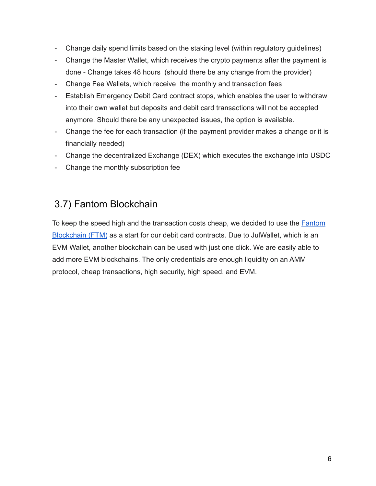- Change daily spend limits based on the staking level (within regulatory guidelines)
- Change the Master Wallet, which receives the crypto payments after the payment is done - Change takes 48 hours (should there be any change from the provider)
- Change Fee Wallets, which receive the monthly and transaction fees
- Establish Emergency Debit Card contract stops, which enables the user to withdraw into their own wallet but deposits and debit card transactions will not be accepted anymore. Should there be any unexpected issues, the option is available.
- Change the fee for each transaction (if the payment provider makes a change or it is financially needed)
- Change the decentralized Exchange (DEX) which executes the exchange into USDC
- Change the monthly subscription fee

### <span id="page-5-0"></span>3.7) Fantom Blockchain

To keep the speed high and the transaction costs cheap, we decided to use the **[Fantom](https://fantom.foundation)** [Blockchain](https://fantom.foundation) (FTM) as a start for our debit card contracts. Due to JulWallet, which is an EVM Wallet, another blockchain can be used with just one click. We are easily able to add more EVM blockchains. The only credentials are enough liquidity on an AMM protocol, cheap transactions, high security, high speed, and EVM.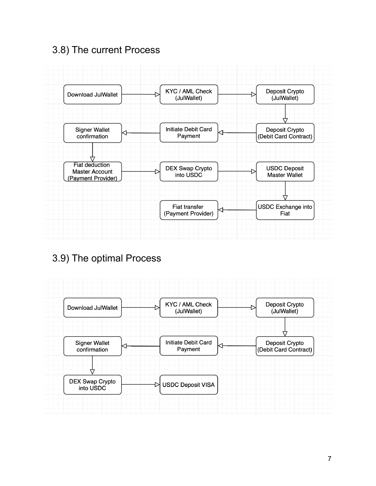## <span id="page-6-0"></span>3.8) The current Process



## <span id="page-6-1"></span>3.9) The optimal Process

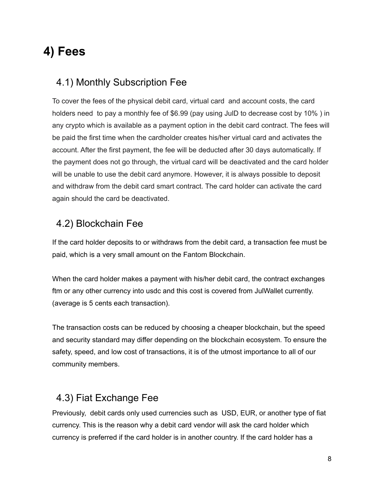## <span id="page-7-0"></span>**4) Fees**

#### <span id="page-7-1"></span>4.1) Monthly Subscription Fee

To cover the fees of the physical debit card, virtual card and account costs, the card holders need to pay a monthly fee of \$6.99 (pay using JulD to decrease cost by 10% ) in any crypto which is available as a payment option in the debit card contract. The fees will be paid the first time when the cardholder creates his/her virtual card and activates the account. After the first payment, the fee will be deducted after 30 days automatically. If the payment does not go through, the virtual card will be deactivated and the card holder will be unable to use the debit card anymore. However, it is always possible to deposit and withdraw from the debit card smart contract. The card holder can activate the card again should the card be deactivated.

### <span id="page-7-2"></span>4.2) Blockchain Fee

If the card holder deposits to or withdraws from the debit card, a transaction fee must be paid, which is a very small amount on the Fantom Blockchain.

When the card holder makes a payment with his/her debit card, the contract exchanges ftm or any other currency into usdc and this cost is covered from JulWallet currently. (average is 5 cents each transaction).

The transaction costs can be reduced by choosing a cheaper blockchain, but the speed and security standard may differ depending on the blockchain ecosystem. To ensure the safety, speed, and low cost of transactions, it is of the utmost importance to all of our community members.

## <span id="page-7-3"></span>4.3) Fiat Exchange Fee

Previously, debit cards only used currencies such as USD, EUR, or another type of fiat currency. This is the reason why a debit card vendor will ask the card holder which currency is preferred if the card holder is in another country. If the card holder has a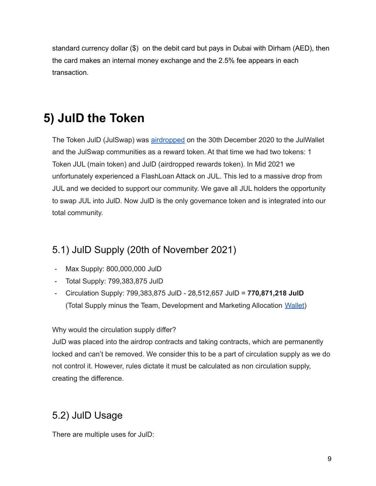standard currency dollar (\$) on the debit card but pays in Dubai with Dirham (AED), then the card makes an internal money exchange and the 2.5% fee appears in each transaction.

# <span id="page-8-0"></span>**5) JulD the Token**

The Token JulD (JulSwap) was [airdropped](https://justliquidity.medium.com/julswap-community-token-juld-airdrop-e73d49e9f13c) on the 30th December 2020 to the JulWallet and the JulSwap communities as a reward token. At that time we had two tokens: 1 Token JUL (main token) and JulD (airdropped rewards token). In Mid 2021 we unfortunately experienced a FlashLoan Attack on JUL. This led to a massive drop from JUL and we decided to support our community. We gave all JUL holders the opportunity to swap JUL into JulD. Now JulD is the only governance token and is integrated into our total community.

### <span id="page-8-1"></span>5.1) JulD Supply (20th of November 2021)

- Max Supply: 800,000,000 JulD
- Total Supply: 799,383,875 JulD
- Circulation Supply: 799,383,875 JulD 28,512,657 JulD = **770,871,218 JulD** (Total Supply minus the Team, Development and Marketing Allocation [Wallet\)](https://bscscan.com/token/0x5a41f637c3f7553dba6ddc2d3ca92641096577ea?a=0xcbb7c7ad51f1453368d268738752b53b9d5cff85)

#### Why would the circulation supply differ?

JulD was placed into the airdrop contracts and taking contracts, which are permanently locked and can't be removed. We consider this to be a part of circulation supply as we do not control it. However, rules dictate it must be calculated as non circulation supply, creating the difference.

### <span id="page-8-2"></span>5.2) JulD Usage

There are multiple uses for JulD: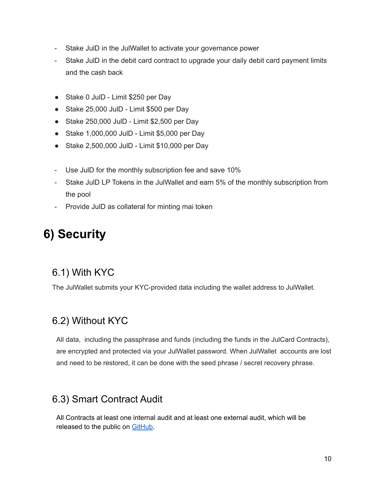- Stake JulD in the JulWallet to activate your governance power
- Stake JulD in the debit card contract to upgrade your daily debit card payment limits and the cash back
- Stake 0 JulD Limit \$250 per Day
- Stake 25,000 JulD Limit \$500 per Day
- Stake 250,000 JulD Limit \$2,500 per Day
- Stake 1,000,000 JulD Limit \$5,000 per Day
- Stake 2,500,000 JulD Limit \$10,000 per Day
- Use JulD for the monthly subscription fee and save 10%
- Stake JulD LP Tokens in the JulWallet and earn 5% of the monthly subscription from the pool
- Provide JulD as collateral for minting mai token

# <span id="page-9-0"></span>**6) Security**

#### <span id="page-9-1"></span>6.1) With KYC

The JulWallet submits your KYC-provided data including the wallet address to JulWallet.

#### <span id="page-9-2"></span>6.2) Without KYC

All data, including the passphrase and funds (including the funds in the JulCard Contracts), are encrypted and protected via your JulWallet password. When JulWallet accounts are lost and need to be restored, it can be done with the seed phrase / secret recovery phrase.

#### <span id="page-9-3"></span>6.3) Smart Contract Audit

All Contracts at least one internal audit and at least one external audit, which will be released to the public on [GitHub.](https://github.com/JustLiquidity/audits)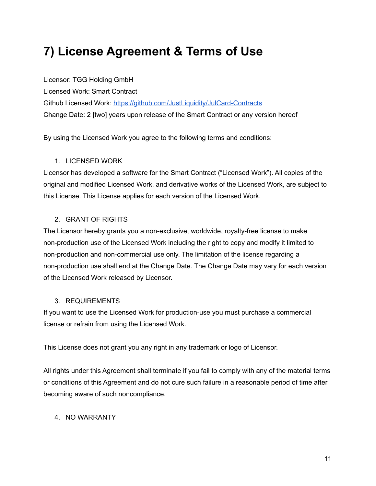# <span id="page-10-0"></span>**7) License Agreement & Terms of Use**

Licensor: TGG Holding GmbH Licensed Work: Smart Contract Github Licensed Work: <https://github.com/JustLiquidity/JulCard-Contracts> Change Date: 2 [two] years upon release of the Smart Contract or any version hereof

By using the Licensed Work you agree to the following terms and conditions:

#### 1. LICENSED WORK

Licensor has developed a software for the Smart Contract ("Licensed Work"). All copies of the original and modified Licensed Work, and derivative works of the Licensed Work, are subject to this License. This License applies for each version of the Licensed Work.

#### 2. GRANT OF RIGHTS

The Licensor hereby grants you a non-exclusive, worldwide, royalty-free license to make non-production use of the Licensed Work including the right to copy and modify it limited to non-production and non-commercial use only. The limitation of the license regarding a non-production use shall end at the Change Date. The Change Date may vary for each version of the Licensed Work released by Licensor.

#### 3. REQUIREMENTS

If you want to use the Licensed Work for production-use you must purchase a commercial license or refrain from using the Licensed Work.

This License does not grant you any right in any trademark or logo of Licensor.

All rights under this Agreement shall terminate if you fail to comply with any of the material terms or conditions of this Agreement and do not cure such failure in a reasonable period of time after becoming aware of such noncompliance.

#### 4. NO WARRANTY